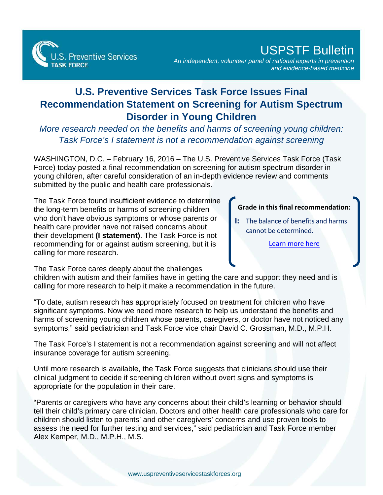

## USPSTF Bulletin

*An independent, volunteer panel of national experts in prevention and evidence-based medicine*

## **U.S. Preventive Services Task Force Issues Final Recommendation Statement on Screening for Autism Spectrum Disorder in Young Children**

*More research needed on the benefits and harms of screening young children: Task Force's I statement is not a recommendation against screening* 

WASHINGTON, D.C. – February 16, 2016 – The U.S. Preventive Services Task Force (Task Force) today posted a final recommendation on screening for autism spectrum disorder in young children, after careful consideration of an in-depth evidence review and comments submitted by the public and health care professionals.

The Task Force found insufficient evidence to determine the long-term benefits or harms of screening children who don't have obvious symptoms or whose parents or health care provider have not raised concerns about their development **(I statement)**. The Task Force is not recommending for or against autism screening, but it is calling for more research.

## **Grade in this final recommendation:**

**I:** The balance of benefits and harms cannot be determined.

[Learn more here](http://www.uspreventiveservicestaskforce.org/Page/Name/grade-definitions)

The Task Force cares deeply about the challenges

children with autism and their families have in getting the care and support they need and is calling for more research to help it make a recommendation in the future.

"To date, autism research has appropriately focused on treatment for children who have significant symptoms. Now we need more research to help us understand the benefits and harms of screening young children whose parents, caregivers, or doctor have not noticed any symptoms," said pediatrician and Task Force vice chair David C. Grossman, M.D., M.P.H.

The Task Force's I statement is not a recommendation against screening and will not affect insurance coverage for autism screening.

Until more research is available, the Task Force suggests that clinicians should use their clinical judgment to decide if screening children without overt signs and symptoms is appropriate for the population in their care.

"Parents or caregivers who have any concerns about their child's learning or behavior should tell their child's primary care clinician. Doctors and other health care professionals who care for children should listen to parents' and other caregivers' concerns and use proven tools to assess the need for further testing and services," said pediatrician and Task Force member Alex Kemper, M.D., M.P.H., M.S.